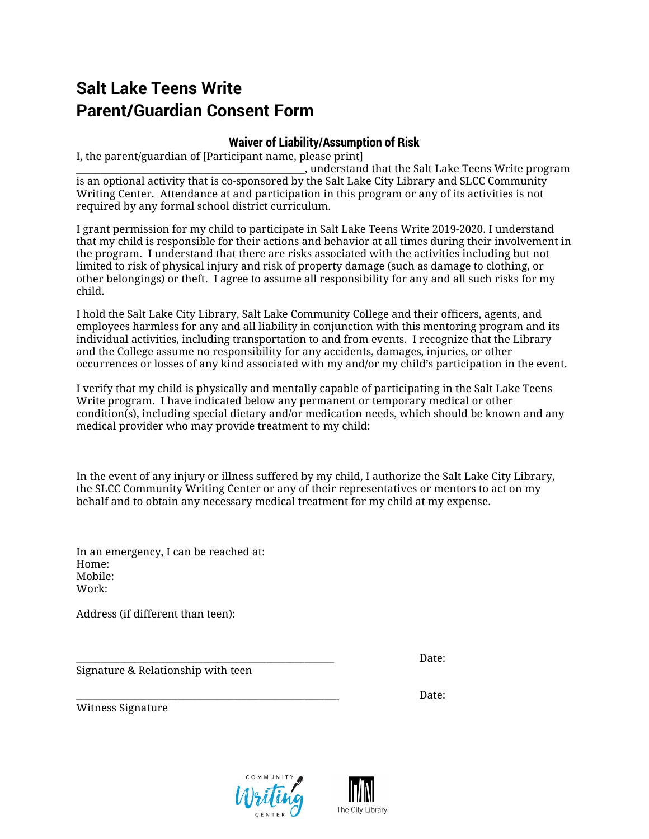## **Salt Lake Teens Write Parent/Guardian Consent Form**

## **Waiver of Liability/Assumption of Risk**

I, the parent/guardian of [Participant name, please print]

 $\Box$ , understand that the Salt Lake Teens Write program is an optional activity that is co-sponsored by the Salt Lake City Library and SLCC Community Writing Center. Attendance at and participation in this program or any of its activities is not required by any formal school district curriculum.

I grant permission for my child to participate in Salt Lake Teens Write 2019-2020. I understand that my child is responsible for their actions and behavior at all times during their involvement in the program. I understand that there are risks associated with the activities including but not limited to risk of physical injury and risk of property damage (such as damage to clothing, or other belongings) or theft. I agree to assume all responsibility for any and all such risks for my child.

I hold the Salt Lake City Library, Salt Lake Community College and their officers, agents, and employees harmless for any and all liability in conjunction with this mentoring program and its individual activities, including transportation to and from events. I recognize that the Library and the College assume no responsibility for any accidents, damages, injuries, or other occurrences or losses of any kind associated with my and/or my child's participation in the event.

I verify that my child is physically and mentally capable of participating in the Salt Lake Teens Write program. I have indicated below any permanent or temporary medical or other condition(s), including special dietary and/or medication needs, which should be known and any medical provider who may provide treatment to my child:

In the event of any injury or illness suffered by my child, I authorize the Salt Lake City Library, the SLCC Community Writing Center or any of their representatives or mentors to act on my behalf and to obtain any necessary medical treatment for my child at my expense.

In an emergency, I can be reached at: Home: Mobile: Work:

Address (if different than teen):

Signature & Relationship with teen

\_\_\_\_\_\_\_\_\_\_\_\_\_\_\_\_\_\_\_\_\_\_\_\_\_\_\_\_\_\_\_\_\_\_\_\_\_\_\_\_\_\_\_\_\_\_\_\_\_\_\_\_\_ Date:

\_\_\_\_\_\_\_\_\_\_\_\_\_\_\_\_\_\_\_\_\_\_\_\_\_\_\_\_\_\_\_\_\_\_\_\_\_\_\_\_\_\_\_\_\_\_\_\_\_\_\_\_\_\_ Date: Witness Signature